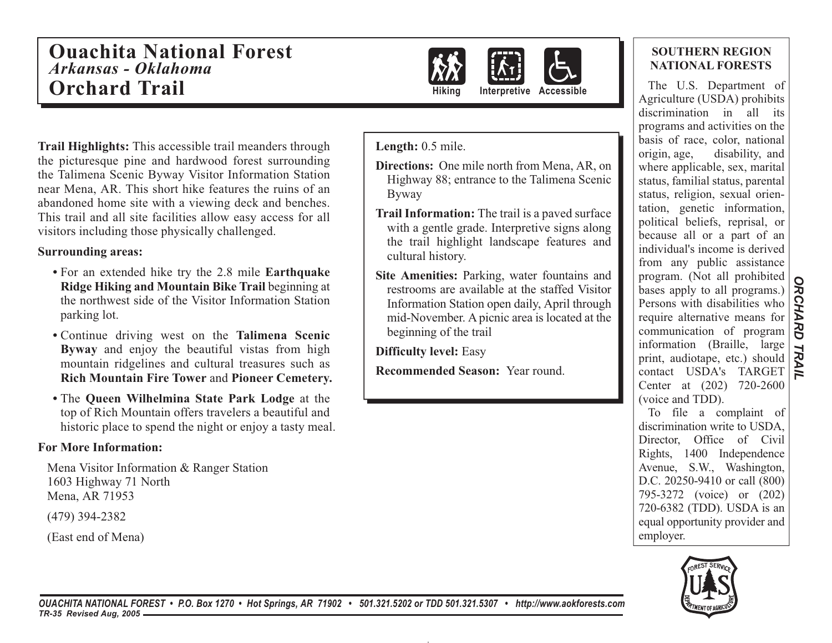## **Ouachita National Forest***Arkansas - Oklahoma* **Orchard Trail**



**Hiking Interpretive Accessible**

**Trail Highlights:** This accessible trail meanders through the picturesque pine and hardwood forest surrounding the Talimena Scenic Byway Visitor Information Station near Mena, AR. This short hike features the ruins of an abandoned home site with a viewing deck and benches. This trail and all site facilities allow easy access for all visitors including those physically challenged.

#### **Surrounding areas:**

- For an extended hike try the 2.8 mile **Earthquake Ridge Hiking and Mountain Bike Trail** beginning at the northwest side of the Visitor Information Station parking lot.
- Continue driving west on the **Talimena Scenic Byway** and enjoy the beautiful vistas from high mountain ridgelines and cultural treasures such as **Rich Mountain Fire Tower** and **Pioneer Cemetery.**
- The **Queen Wilhelmina State Park Lodge** at the top of Rich Mountain offers travelers a beautiful and historic place to spend the night or enjoy a tasty meal.

### **For More Information:**

 Mena Visitor Information & Ranger Station 1603 Highway 71 North Mena, AR 71953

(479) 394-2382

(East end of Mena)

Length:  $0.5$  mile.

- **Directions:** One mile north from Mena, AR, on Highway 88; entrance to the Talimena Scenic Byway
- **Trail Information:** The trail is a paved surface with a gentle grade. Interpretive signs along the trail highlight landscape features and cultural history.
- **Site Amenities:** Parking, water fountains and restrooms are available at the staffed Visitor Information Station open daily, April through mid-November. A picnic area is located at the beginning of the trail

**Difficulty level:** Easy

**Recommended Season:** Year round.

### **SOUTHERN REGION NATIONAL FORESTS**

The U.S. Department of Agriculture (USDA) prohibits discrimination in all its programs and activities on the basis of race, color, national origin, age, disability, and where applicable, sex, marital status, familial status, parental status, religion, sexual orientation, genetic information, political beliefs, reprisal, or because all or a part of an individual's income is derived from any public assistance program. (Not all prohibited bases apply to all programs.) Persons with disabilities who require alternative means for communication of program information (Braille, large print, audiotape, etc.) should contact USDA's TARGET Center at (202) 720-2600 (voice and TDD).

To file a complaint of discrimination write to USDA, Director, Office of Civil Rights, 1400 Independence Avenue, S.W., Washington, D.C. 20250-9410 or call (800) 795-3272 (voice) or (202) 720-6382 (TDD). USDA is an equal opportunity provider and employer.



*OUACHITA NATIONAL FOREST • P.O. Box 1270 • Hot Springs, AR 71902 • 501.321.5202 or TDD 501.321.5307 • http://www.aokforests.com TR-35 Revised Aug, 2005*